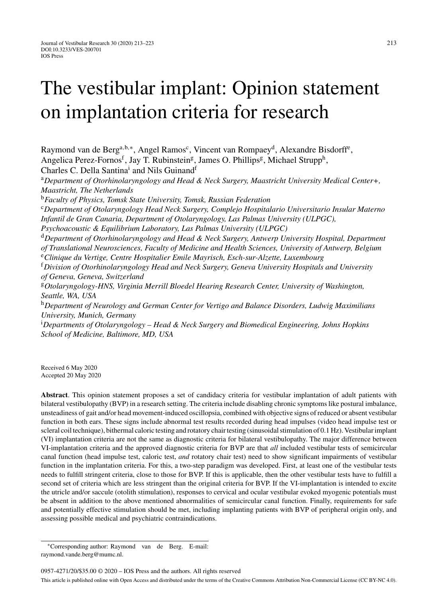# The vestibular implant: Opinion statement on implantation criteria for research

Raymond van de Berg<sup>a,b,∗</sup>, Angel Ramos<sup>c</sup>, Vincent van Rompaey<sup>d</sup>, Alexandre Bisdorff<sup>e</sup>, Angelica Perez-Fornos<sup>f</sup>, Jay T. Rubinstein<sup>g</sup>, James O. Phillips<sup>g</sup>, Michael Strupp<sup>h</sup>, Charles C. Della Santina<sup>i</sup> and Nils Guinand<sup>f</sup>

<sup>a</sup>*Department of Otorhinolaryngology and Head & Neck Surgery, Maastricht University Medical Center+, Maastricht, The Netherlands*

<sup>b</sup>*Faculty of Physics, Tomsk State University, Tomsk, Russian Federation*

<sup>c</sup>*Department of Otolaryngology Head Neck Surgery, Complejo Hospitalario Universitario Insular Materno Infantil de Gran Canaria, Department of Otolaryngology, Las Palmas University (ULPGC),*

*Psychoacoustic & Equilibrium Laboratory, Las Palmas University (ULPGC)*

<sup>d</sup>*Department of Otorhinolaryngology and Head & Neck Surgery, Antwerp University Hospital, Department of Translational Neurosciences, Faculty of Medicine and Health Sciences, University of Antwerp, Belgium* <sup>e</sup>*Clinique du Vertige, Centre Hospitalier Emile Mayrisch, Esch-sur-Alzette, Luxembourg*

<sup>f</sup>*Division of Otorhinolaryngology Head and Neck Surgery, Geneva University Hospitals and University of Geneva, Geneva, Switzerland*

<sup>g</sup>*Otolaryngology-HNS, Virginia Merrill Bloedel Hearing Research Center, University of Washington, Seattle, WA, USA*

<sup>h</sup>*Department of Neurology and German Center for Vertigo and Balance Disorders, Ludwig Maximilians University, Munich, Germany*

i *Departments of Otolaryngology – Head & Neck Surgery and Biomedical Engineering, Johns Hopkins School of Medicine, Baltimore, MD, USA*

Received 6 May 2020 Accepted 20 May 2020

**Abstract**. This opinion statement proposes a set of candidacy criteria for vestibular implantation of adult patients with bilateral vestibulopathy (BVP) in a research setting. The criteria include disabling chronic symptoms like postural imbalance, unsteadiness of gait and/or head movement-induced oscillopsia, combined with objective signs of reduced or absent vestibular function in both ears. These signs include abnormal test results recorded during head impulses (video head impulse test or scleral coil technique), bithermal caloric testing and rotatory chair testing (sinusoidal stimulation of 0.1 Hz). Vestibular implant (VI) implantation criteria are not the same as diagnostic criteria for bilateral vestibulopathy. The major difference between VI-implantation criteria and the approved diagnostic criteria for BVP are that *all* included vestibular tests of semicircular canal function (head impulse test, caloric test, *and* rotatory chair test) need to show significant impairments of vestibular function in the implantation criteria. For this, a two-step paradigm was developed. First, at least one of the vestibular tests needs to fulfill stringent criteria, close to those for BVP. If this is applicable, then the other vestibular tests have to fulfill a second set of criteria which are less stringent than the original criteria for BVP. If the VI-implantation is intended to excite the utricle and/or saccule (otolith stimulation), responses to cervical and ocular vestibular evoked myogenic potentials must be absent in addition to the above mentioned abnormalities of semicircular canal function. Finally, requirements for safe and potentially effective stimulation should be met, including implanting patients with BVP of peripheral origin only, and assessing possible medical and psychiatric contraindications.

<sup>∗</sup>Corresponding author: Raymond van de Berg. E-mail: [raymond.vande.berg@mumc.nl.](mailto:raymond.vande.berg@mumc.nl)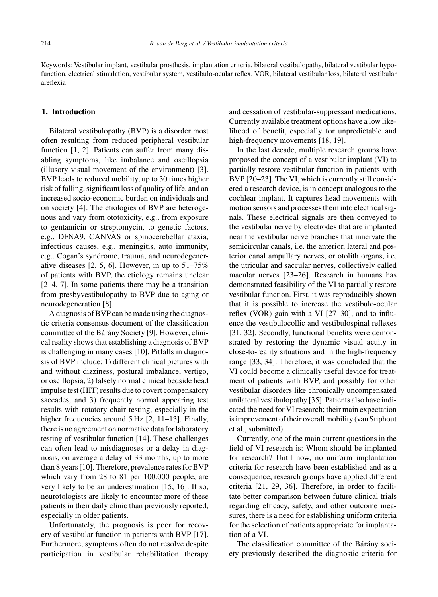Keywords: Vestibular implant, vestibular prosthesis, implantation criteria, bilateral vestibulopathy, bilateral vestibular hypofunction, electrical stimulation, vestibular system, vestibulo-ocular reflex, VOR, bilateral vestibular loss, bilateral vestibular areflexia

#### **1. Introduction**

Bilateral vestibulopathy (BVP) is a disorder most often resulting from reduced peripheral vestibular function [1, 2]. Patients can suffer from many disabling symptoms, like imbalance and oscillopsia (illusory visual movement of the environment) [3]. BVP leads to reduced mobility, up to 30 times higher risk of falling, significant loss of quality of life, and an increased socio-economic burden on individuals and on society [4]. The etiologies of BVP are heterogenous and vary from ototoxicity, e.g., from exposure to gentamicin or streptomycin, to genetic factors, e.g., DFNA9, CANVAS or spinocerebellar ataxia, infectious causes, e.g., meningitis, auto immunity, e.g., Cogan's syndrome, trauma, and neurodegenerative diseases  $[2, 5, 6]$ . However, in up to  $51-75\%$ of patients with BVP, the etiology remains unclear [2–4, 7]. In some patients there may be a transition from presbyvestibulopathy to BVP due to aging or neurodegeneration [8].

A diagnosis of BVP can be made using the diagnostic criteria consensus document of the classification committee of the Bárány Society [9]. However, clinical reality shows that establishing a diagnosis of BVP is challenging in many cases [10]. Pitfalls in diagnosis of BVP include: 1) different clinical pictures with and without dizziness, postural imbalance, vertigo, or oscillopsia, 2) falsely normal clinical bedside head impulse test (HIT) results due to covert compensatory saccades, and 3) frequently normal appearing test results with rotatory chair testing, especially in the higher frequencies around 5 Hz [2, 11–13]. Finally, there is no agreement on normative data for laboratory testing of vestibular function [14]. These challenges can often lead to misdiagnoses or a delay in diagnosis, on average a delay of 33 months, up to more than 8 years [10]. Therefore, prevalence rates for BVP which vary from 28 to 81 per 100.000 people, are very likely to be an underestimation [15, 16]. If so, neurotologists are likely to encounter more of these patients in their daily clinic than previously reported, especially in older patients.

Unfortunately, the prognosis is poor for recovery of vestibular function in patients with BVP [17]. Furthermore, symptoms often do not resolve despite participation in vestibular rehabilitation therapy and cessation of vestibular-suppressant medications. Currently available treatment options have a low likelihood of benefit, especially for unpredictable and high-frequency movements [18, 19].

In the last decade, multiple research groups have proposed the concept of a vestibular implant (VI) to partially restore vestibular function in patients with BVP [20–23]. The VI, which is currently still considered a research device, is in concept analogous to the cochlear implant. It captures head movements with motion sensors and processes them into electrical signals. These electrical signals are then conveyed to the vestibular nerve by electrodes that are implanted near the vestibular nerve branches that innervate the semicircular canals, i.e. the anterior, lateral and posterior canal ampullary nerves, or otolith organs, i.e. the utricular and saccular nerves, collectively called macular nerves [23–26]. Research in humans has demonstrated feasibility of the VI to partially restore vestibular function. First, it was reproducibly shown that it is possible to increase the vestibulo-ocular reflex (VOR) gain with a VI [27–30], and to influence the vestibulocollic and vestibulospinal reflexes [31, 32]. Secondly, functional benefits were demonstrated by restoring the dynamic visual acuity in close-to-reality situations and in the high-frequency range [33, 34]. Therefore, it was concluded that the VI could become a clinically useful device for treatment of patients with BVP, and possibly for other vestibular disorders like chronically uncompensated unilateral vestibulopathy [35]. Patients also have indicated the need for VI research; their main expectation is improvement of their overall mobility (van Stiphout et al., submitted).

Currently, one of the main current questions in the field of VI research is: Whom should be implanted for research? Until now, no uniform implantation criteria for research have been established and as a consequence, research groups have applied different criteria [21, 29, 36]. Therefore, in order to facilitate better comparison between future clinical trials regarding efficacy, safety, and other outcome measures, there is a need for establishing uniform criteria for the selection of patients appropriate for implantation of a VI.

The classification committee of the Bárány society previously described the diagnostic criteria for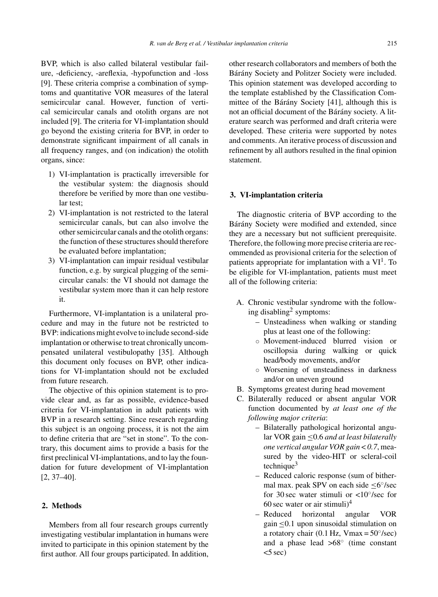BVP, which is also called bilateral vestibular failure, -deficiency, -areflexia, -hypofunction and -loss [9]. These criteria comprise a combination of symptoms and quantitative VOR measures of the lateral semicircular canal. However, function of vertical semicircular canals and otolith organs are not included [9]. The criteria for VI-implantation should go beyond the existing criteria for BVP, in order to demonstrate significant impairment of all canals in all frequency ranges, and (on indication) the otolith organs, since:

- 1) VI-implantation is practically irreversible for the vestibular system: the diagnosis should therefore be verified by more than one vestibular test;
- 2) VI-implantation is not restricted to the lateral semicircular canals, but can also involve the other semicircular canals and the otolith organs: the function of these structures should therefore be evaluated before implantation;
- 3) VI-implantation can impair residual vestibular function, e.g. by surgical plugging of the semicircular canals: the VI should not damage the vestibular system more than it can help restore it.

Furthermore, VI-implantation is a unilateral procedure and may in the future not be restricted to BVP: indications might evolve to include second-side implantation or otherwise to treat chronically uncompensated unilateral vestibulopathy [35]. Although this document only focuses on BVP, other indications for VI-implantation should not be excluded from future research.

The objective of this opinion statement is to provide clear and, as far as possible, evidence-based criteria for VI-implantation in adult patients with BVP in a research setting. Since research regarding this subject is an ongoing process, it is not the aim to define criteria that are "set in stone". To the contrary, this document aims to provide a basis for the first preclinical VI-implantations, and to lay the foundation for future development of VI-implantation [2, 37–40].

## **2. Methods**

Members from all four research groups currently investigating vestibular implantation in humans were invited to participate in this opinion statement by the first author. All four groups participated. In addition,

other research collaborators and members of both the Bárány Society and Politzer Society were included. This opinion statement was developed according to the template established by the Classification Committee of the Bárány Society  $[41]$ , although this is not an official document of the Bárány society. A literature search was performed and draft criteria were developed. These criteria were supported by notes and comments. An iterative process of discussion and refinement by all authors resulted in the final opinion statement.

## **3. VI-implantation criteria**

The diagnostic criteria of BVP according to the Bárány Society were modified and extended, since they are a necessary but not sufficient prerequisite. Therefore, the following more precise criteria are recommended as provisional criteria for the selection of patients appropriate for implantation with a  $VI<sup>1</sup>$ . To be eligible for VI-implantation, patients must meet all of the following criteria:

- A. Chronic vestibular syndrome with the following disabling<sup>2</sup> symptoms:
	- Unsteadiness when walking or standing plus at least one of the following:
	- Movement-induced blurred vision or oscillopsia during walking or quick head/body movements, and/or
	- Worsening of unsteadiness in darkness and/or on uneven ground
- B. Symptoms greatest during head movement
- C. Bilaterally reduced or absent angular VOR function documented by *at least one of the following major criteria*:
	- Bilaterally pathological horizontal angular VOR gain ≤0.6 *and at least bilaterally one vertical angular VOR gain* < *0.7*, measured by the video-HIT or scleral-coil technique $3$
	- Reduced caloric response (sum of bithermal max. peak SPV on each side ≤6◦/sec for 30 sec water stimuli or <10◦/sec for 60 sec water or air stimuli $)^4$
	- Reduced horizontal angular VOR gain ≤0.1 upon sinusoidal stimulation on a rotatory chair (0.1 Hz, Vmax =  $50^{\circ}/sec$ ) and a phase lead >68◦ (time constant  $<$ 5 sec)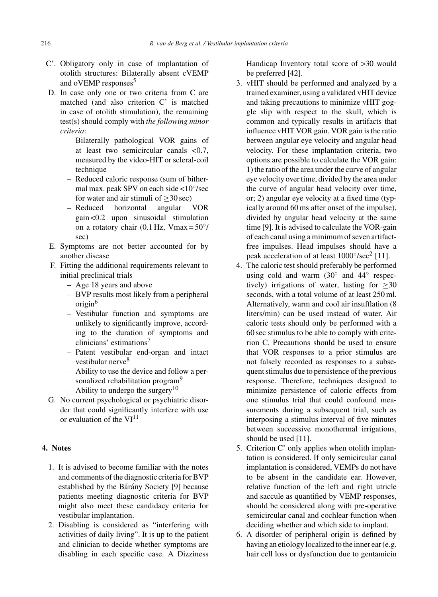- C'. Obligatory only in case of implantation of otolith structures: Bilaterally absent cVEMP and oVEMP responses<sup>5</sup>
- D. In case only one or two criteria from C are matched (and also criterion C' is matched in case of otolith stimulation), the remaining test(s) should comply with *the following minor criteria*:
	- Bilaterally pathological VOR gains of at least two semicircular canals <0.7, measured by the video-HIT or scleral-coil technique
	- Reduced caloric response (sum of bithermal max. peak SPV on each side <10◦/sec for water and air stimuli of  $\geq 30 \text{ sec}$ <br>- Reduced horizontal angular VOR
	- horizontal gain <0.2 upon sinusoidal stimulation on a rotatory chair (0.1 Hz, Vmax =  $50^{\circ}$ / sec)
- E. Symptoms are not better accounted for by another disease
- F. Fitting the additional requirements relevant to initial preclinical trials
	- Age 18 years and above
	- BVP results most likely from a peripheral origin<sup>6</sup>
	- Vestibular function and symptoms are unlikely to significantly improve, according to the duration of symptoms and clinicians' estimations<sup>7</sup>
	- Patent vestibular end-organ and intact vestibular nerve<sup>8</sup>
	- Ability to use the device and follow a personalized rehabilitation program<sup>9</sup>
	- Ability to undergo the surgery<sup>10</sup>
- G. No current psychological or psychiatric disorder that could significantly interfere with use or evaluation of the  $VI<sup>11</sup>$

## **4. Notes**

- 1. It is advised to become familiar with the notes and comments of the diagnostic criteria for BVP established by the Bárány Society [9] because patients meeting diagnostic criteria for BVP might also meet these candidacy criteria for vestibular implantation.
- 2. Disabling is considered as "interfering with activities of daily living". It is up to the patient and clinician to decide whether symptoms are disabling in each specific case. A Dizziness

Handicap Inventory total score of >30 would be preferred [42].

- 3. vHIT should be performed and analyzed by a trained examiner, using a validated vHIT device and taking precautions to minimize vHIT goggle slip with respect to the skull, which is common and typically results in artifacts that influence vHIT VOR gain. VOR gain is the ratio between angular eye velocity and angular head velocity. For these implantation criteria, two options are possible to calculate the VOR gain: 1) the ratio of the area under the curve of angular eye velocity over time, divided by the area under the curve of angular head velocity over time, or; 2) angular eye velocity at a fixed time (typically around 60 ms after onset of the impulse), divided by angular head velocity at the same time [9]. It is advised to calculate the VOR-gain of each canal using a minimum of seven artifactfree impulses. Head impulses should have a peak acceleration of at least  $1000°/sec^2$  [11].
- 4. The caloric test should preferably be performed using cold and warm  $(30<sup>°</sup>$  and  $44<sup>°</sup>$  respectively) irrigations of water, lasting for  $>30$ seconds, with a total volume of at least 250 ml. Alternatively, warm and cool air insufflation (8 liters/min) can be used instead of water. Air caloric tests should only be performed with a 60 sec stimulus to be able to comply with criterion C. Precautions should be used to ensure that VOR responses to a prior stimulus are not falsely recorded as responses to a subsequent stimulus due to persistence of the previous response. Therefore, techniques designed to minimize persistence of caloric effects from one stimulus trial that could confound measurements during a subsequent trial, such as interposing a stimulus interval of five minutes between successive monothermal irrigations, should be used [11].
- 5. Criterion C' only applies when otolith implantation is considered. If only semicircular canal implantation is considered, VEMPs do not have to be absent in the candidate ear. However, relative function of the left and right utricle and saccule as quantified by VEMP responses, should be considered along with pre-operative semicircular canal and cochlear function when deciding whether and which side to implant.
- 6. A disorder of peripheral origin is defined by having an etiology localized to the inner ear (e.g. hair cell loss or dysfunction due to gentamicin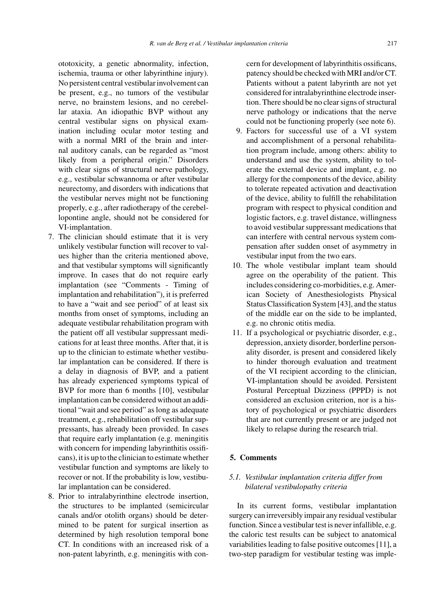ototoxicity, a genetic abnormality, infection, ischemia, trauma or other labyrinthine injury). No persistent central vestibular involvement can be present, e.g., no tumors of the vestibular nerve, no brainstem lesions, and no cerebellar ataxia. An idiopathic BVP without any central vestibular signs on physical examination including ocular motor testing and with a normal MRI of the brain and internal auditory canals, can be regarded as "most likely from a peripheral origin." Disorders with clear signs of structural nerve pathology, e.g., vestibular schwannoma or after vestibular neurectomy, and disorders with indications that the vestibular nerves might not be functioning properly, e.g., after radiotherapy of the cerebellopontine angle, should not be considered for VI-implantation.

- 7. The clinician should estimate that it is very unlikely vestibular function will recover to values higher than the criteria mentioned above, and that vestibular symptoms will significantly improve. In cases that do not require early implantation (see "Comments - Timing of implantation and rehabilitation"), it is preferred to have a "wait and see period" of at least six months from onset of symptoms, including an adequate vestibular rehabilitation program with the patient off all vestibular suppressant medications for at least three months. After that, it is up to the clinician to estimate whether vestibular implantation can be considered. If there is a delay in diagnosis of BVP, and a patient has already experienced symptoms typical of BVP for more than 6 months [10], vestibular implantation can be considered without an additional "wait and see period" as long as adequate treatment, e.g., rehabilitation off vestibular suppressants, has already been provided. In cases that require early implantation (e.g. meningitis with concern for impending labyrinthitis ossificans), it is up to the clinician to estimate whether vestibular function and symptoms are likely to recover or not. If the probability is low, vestibular implantation can be considered.
- 8. Prior to intralabyrinthine electrode insertion, the structures to be implanted (semicircular canals and/or otolith organs) should be determined to be patent for surgical insertion as determined by high resolution temporal bone CT. In conditions with an increased risk of a non-patent labyrinth, e.g. meningitis with con-

cern for development of labyrinthitis ossificans, patency should be checked with MRI and/or CT. Patients without a patent labyrinth are not yet considered for intralabyrinthine electrode insertion. There should be no clear signs of structural nerve pathology or indications that the nerve could not be functioning properly (see note 6).

- 9. Factors for successful use of a VI system and accomplishment of a personal rehabilitation program include, among others: ability to understand and use the system, ability to tolerate the external device and implant, e.g. no allergy for the components of the device, ability to tolerate repeated activation and deactivation of the device, ability to fulfill the rehabilitation program with respect to physical condition and logistic factors, e.g. travel distance, willingness to avoid vestibular suppressant medications that can interfere with central nervous system compensation after sudden onset of asymmetry in vestibular input from the two ears.
- 10. The whole vestibular implant team should agree on the operability of the patient. This includes considering co-morbidities, e.g. American Society of Anesthesiologists Physical Status Classification System [43], and the status of the middle ear on the side to be implanted, e.g. no chronic otitis media.
- 11. If a psychological or psychiatric disorder, e.g., depression, anxiety disorder, borderline personality disorder, is present and considered likely to hinder thorough evaluation and treatment of the VI recipient according to the clinician, VI-implantation should be avoided. Persistent Postural Perceptual Dizziness (PPPD) is not considered an exclusion criterion, nor is a history of psychological or psychiatric disorders that are not currently present or are judged not likely to relapse during the research trial.

## **5. Comments**

# *5.1. Vestibular implantation criteria differ from bilateral vestibulopathy criteria*

In its current forms, vestibular implantation surgery can irreversibly impair any residual vestibular function. Since a vestibular test is never infallible, e.g. the caloric test results can be subject to anatomical variabilities leading to false positive outcomes [11], a two-step paradigm for vestibular testing was imple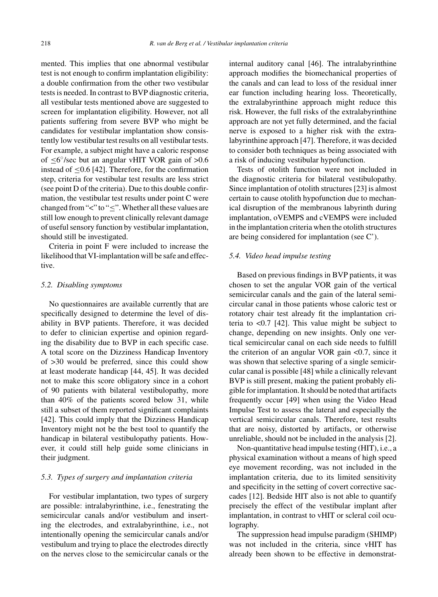mented. This implies that one abnormal vestibular test is not enough to confirm implantation eligibility: a double confirmation from the other two vestibular tests is needed. In contrast to BVP diagnostic criteria, all vestibular tests mentioned above are suggested to screen for implantation eligibility. However, not all patients suffering from severe BVP who might be candidates for vestibular implantation show consistently low vestibular test results on all vestibular tests. For example, a subject might have a caloric response of  $\leq 6^{\circ}/sec$  but an angular vHIT VOR gain of >0.6 instead of  $\leq$ 0.6 [42]. Therefore, for the confirmation step, criteria for vestibular test results are less strict (see point D of the criteria). Due to this double confirmation, the vestibular test results under point C were changed from "<" to "<". Whether all these values are still low enough to prevent clinically relevant damage of useful sensory function by vestibular implantation, should still be investigated.

Criteria in point F were included to increase the likelihood that VI-implantation will be safe and effective.

#### *5.2. Disabling symptoms*

No questionnaires are available currently that are specifically designed to determine the level of disability in BVP patients. Therefore, it was decided to defer to clinician expertise and opinion regarding the disability due to BVP in each specific case. A total score on the Dizziness Handicap Inventory of >30 would be preferred, since this could show at least moderate handicap [44, 45]. It was decided not to make this score obligatory since in a cohort of 90 patients with bilateral vestibulopathy, more than 40% of the patients scored below 31, while still a subset of them reported significant complaints [42]. This could imply that the Dizziness Handicap Inventory might not be the best tool to quantify the handicap in bilateral vestibulopathy patients. However, it could still help guide some clinicians in their judgment.

#### *5.3. Types of surgery and implantation criteria*

For vestibular implantation, two types of surgery are possible: intralabyrinthine, i.e., fenestrating the semicircular canals and/or vestibulum and inserting the electrodes, and extralabyrinthine, i.e., not intentionally opening the semicircular canals and/or vestibulum and trying to place the electrodes directly on the nerves close to the semicircular canals or the internal auditory canal [46]. The intralabyrinthine approach modifies the biomechanical properties of the canals and can lead to loss of the residual inner ear function including hearing loss. Theoretically, the extralabyrinthine approach might reduce this risk. However, the full risks of the extralabyrinthine approach are not yet fully determined, and the facial nerve is exposed to a higher risk with the extralabyrinthine approach [47]. Therefore, it was decided to consider both techniques as being associated with a risk of inducing vestibular hypofunction.

Tests of otolith function were not included in the diagnostic criteria for bilateral vestibulopathy. Since implantation of otolith structures [23] is almost certain to cause otolith hypofunction due to mechanical disruption of the membranous labyrinth during implantation, oVEMPS and cVEMPS were included in the implantation criteria when the otolith structures are being considered for implantation (see C').

#### *5.4. Video head impulse testing*

Based on previous findings in BVP patients, it was chosen to set the angular VOR gain of the vertical semicircular canals and the gain of the lateral semicircular canal in those patients whose caloric test or rotatory chair test already fit the implantation criteria to <0.7 [42]. This value might be subject to change, depending on new insights. Only one vertical semicircular canal on each side needs to fulfill the criterion of an angular VOR gain <0.7, since it was shown that selective sparing of a single semicircular canal is possible [48] while a clinically relevant BVP is still present, making the patient probably eligible for implantation. It should be noted that artifacts frequently occur [49] when using the Video Head Impulse Test to assess the lateral and especially the vertical semicircular canals. Therefore, test results that are noisy, distorted by artifacts, or otherwise unreliable, should not be included in the analysis [2].

Non-quantitative head impulse testing (HIT), i.e., a physical examination without a means of high speed eye movement recording, was not included in the implantation criteria, due to its limited sensitivity and specificity in the setting of covert corrective saccades [12]. Bedside HIT also is not able to quantify precisely the effect of the vestibular implant after implantation, in contrast to vHIT or scleral coil oculography.

The suppression head impulse paradigm (SHIMP) was not included in the criteria, since vHIT has already been shown to be effective in demonstrat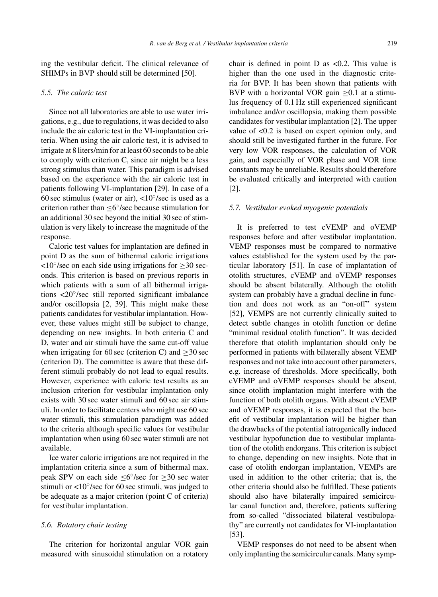ing the vestibular deficit. The clinical relevance of SHIMPs in BVP should still be determined [50].

#### *5.5. The caloric test*

Since not all laboratories are able to use water irrigations, e.g., due to regulations, it was decided to also include the air caloric test in the VI-implantation criteria. When using the air caloric test, it is advised to irrigate at 8 liters/min for at least 60 seconds to be able to comply with criterion C, since air might be a less strong stimulus than water. This paradigm is advised based on the experience with the air caloric test in patients following VI-implantation [29]. In case of a 60 sec stimulus (water or air),  $\langle 10^\circ/\text{sec} \rangle$  is used as a criterion rather than ≤6◦/sec because stimulation for an additional 30 sec beyond the initial 30 sec of stimulation is very likely to increase the magnitude of the response.

Caloric test values for implantation are defined in point D as the sum of bithermal caloric irrigations  $\langle 10^\circ/\text{sec}$  on each side using irrigations for  $\geq 30$  seconds. This criterion is based on previous reports in which patients with a sum of all bithermal irrigations <20◦/sec still reported significant imbalance and/or oscillopsia [2, 39]. This might make these patients candidates for vestibular implantation. However, these values might still be subject to change, depending on new insights. In both criteria C and D, water and air stimuli have the same cut-off value when irrigating for 60 sec (criterion C) and  $\geq$ 30 sec (criterion D). The committee is aware that these different stimuli probably do not lead to equal results. However, experience with caloric test results as an inclusion criterion for vestibular implantation only exists with 30 sec water stimuli and 60 sec air stimuli. In order to facilitate centers who might use 60 sec water stimuli, this stimulation paradigm was added to the criteria although specific values for vestibular implantation when using 60 sec water stimuli are not available.

Ice water caloric irrigations are not required in the implantation criteria since a sum of bithermal max. peak SPV on each side ≤6◦/sec for ≥30 sec water stimuli or <10◦/sec for 60 sec stimuli, was judged to be adequate as a major criterion (point C of criteria) for vestibular implantation.

#### *5.6. Rotatory chair testing*

The criterion for horizontal angular VOR gain measured with sinusoidal stimulation on a rotatory chair is defined in point  $D$  as  $\langle 0.2$ . This value is higher than the one used in the diagnostic criteria for BVP. It has been shown that patients with BVP with a horizontal VOR gain  $\geq 0.1$  at a stimulus frequency of 0.1 Hz still experienced significant imbalance and/or oscillopsia, making them possible candidates for vestibular implantation [2]. The upper value of <0.2 is based on expert opinion only, and should still be investigated further in the future. For very low VOR responses, the calculation of VOR gain, and especially of VOR phase and VOR time constants may be unreliable. Results should therefore be evaluated critically and interpreted with caution [2].

#### *5.7. Vestibular evoked myogenic potentials*

It is preferred to test cVEMP and oVEMP responses before and after vestibular implantation. VEMP responses must be compared to normative values established for the system used by the particular laboratory [51]. In case of implantation of otolith structures, cVEMP and oVEMP responses should be absent bilaterally. Although the otolith system can probably have a gradual decline in function and does not work as an "on-off" system [52], VEMPS are not currently clinically suited to detect subtle changes in otolith function or define "minimal residual otolith function". It was decided therefore that otolith implantation should only be performed in patients with bilaterally absent VEMP responses and not take into account other parameters, e.g. increase of thresholds. More specifically, both cVEMP and oVEMP responses should be absent, since otolith implantation might interfere with the function of both otolith organs. With absent cVEMP and oVEMP responses, it is expected that the benefit of vestibular implantation will be higher than the drawbacks of the potential iatrogenically induced vestibular hypofunction due to vestibular implantation of the otolith endorgans. This criterion is subject to change, depending on new insights. Note that in case of otolith endorgan implantation, VEMPs are used in addition to the other criteria; that is, the other criteria should also be fulfilled. These patients should also have bilaterally impaired semicircular canal function and, therefore, patients suffering from so-called "dissociated bilateral vestibulopathy" are currently not candidates for VI-implantation [53].

VEMP responses do not need to be absent when only implanting the semicircular canals. Many symp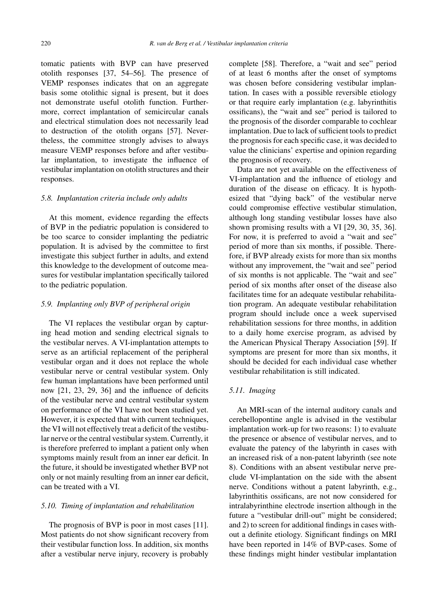tomatic patients with BVP can have preserved otolith responses [37, 54–56]. The presence of VEMP responses indicates that on an aggregate basis some otolithic signal is present, but it does not demonstrate useful otolith function. Furthermore, correct implantation of semicircular canals and electrical stimulation does not necessarily lead to destruction of the otolith organs [57]. Nevertheless, the committee strongly advises to always measure VEMP responses before and after vestibular implantation, to investigate the influence of vestibular implantation on otolith structures and their responses.

#### *5.8. Implantation criteria include only adults*

At this moment, evidence regarding the effects of BVP in the pediatric population is considered to be too scarce to consider implanting the pediatric population. It is advised by the committee to first investigate this subject further in adults, and extend this knowledge to the development of outcome measures for vestibular implantation specifically tailored to the pediatric population.

## *5.9. Implanting only BVP of peripheral origin*

The VI replaces the vestibular organ by capturing head motion and sending electrical signals to the vestibular nerves. A VI-implantation attempts to serve as an artificial replacement of the peripheral vestibular organ and it does not replace the whole vestibular nerve or central vestibular system. Only few human implantations have been performed until now [21, 23, 29, 36] and the influence of deficits of the vestibular nerve and central vestibular system on performance of the VI have not been studied yet. However, it is expected that with current techniques, the VI will not effectively treat a deficit of the vestibular nerve or the central vestibular system. Currently, it is therefore preferred to implant a patient only when symptoms mainly result from an inner ear deficit. In the future, it should be investigated whether BVP not only or not mainly resulting from an inner ear deficit, can be treated with a VI.

## *5.10. Timing of implantation and rehabilitation*

The prognosis of BVP is poor in most cases [11]. Most patients do not show significant recovery from their vestibular function loss. In addition, six months after a vestibular nerve injury, recovery is probably complete [58]. Therefore, a "wait and see" period of at least 6 months after the onset of symptoms was chosen before considering vestibular implantation. In cases with a possible reversible etiology or that require early implantation (e.g. labyrinthitis ossificans), the "wait and see" period is tailored to the prognosis of the disorder comparable to cochlear implantation. Due to lack of sufficient tools to predict the prognosis for each specific case, it was decided to value the clinicians' expertise and opinion regarding the prognosis of recovery.

Data are not yet available on the effectiveness of VI-implantation and the influence of etiology and duration of the disease on efficacy. It is hypothesized that "dying back" of the vestibular nerve could compromise effective vestibular stimulation, although long standing vestibular losses have also shown promising results with a VI [29, 30, 35, 36]. For now, it is preferred to avoid a "wait and see" period of more than six months, if possible. Therefore, if BVP already exists for more than six months without any improvement, the "wait and see" period of six months is not applicable. The "wait and see" period of six months after onset of the disease also facilitates time for an adequate vestibular rehabilitation program. An adequate vestibular rehabilitation program should include once a week supervised rehabilitation sessions for three months, in addition to a daily home exercise program, as advised by the American Physical Therapy Association [59]. If symptoms are present for more than six months, it should be decided for each individual case whether vestibular rehabilitation is still indicated.

# *5.11. Imaging*

An MRI-scan of the internal auditory canals and cerebellopontine angle is advised in the vestibular implantation work-up for two reasons: 1) to evaluate the presence or absence of vestibular nerves, and to evaluate the patency of the labyrinth in cases with an increased risk of a non-patent labyrinth (see note 8). Conditions with an absent vestibular nerve preclude VI-implantation on the side with the absent nerve. Conditions without a patent labyrinth, e.g., labyrinthitis ossificans, are not now considered for intralabyrinthine electrode insertion although in the future a "vestibular drill-out" might be considered; and 2) to screen for additional findings in cases without a definite etiology. Significant findings on MRI have been reported in 14% of BVP-cases. Some of these findings might hinder vestibular implantation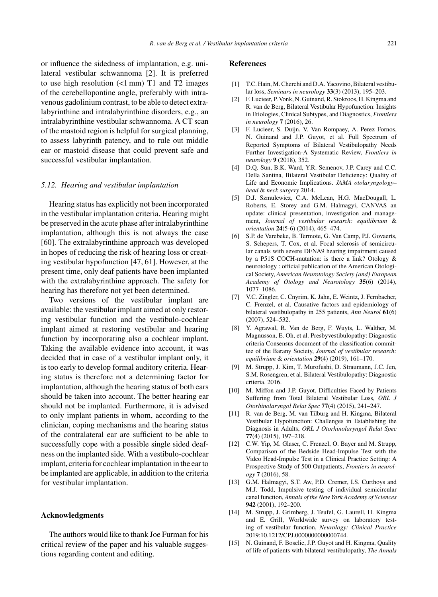or influence the sidedness of implantation, e.g. unilateral vestibular schwannoma [2]. It is preferred to use high resolution  $\left(\langle 1 \text{ mm} \right)$  T1 and T2 images of the cerebellopontine angle, preferably with intravenous gadolinium contrast, to be able to detect extralabyrinthine and intralabyrinthine disorders, e.g., an intralabyrinthine vestibular schwannoma. A CT scan of the mastoid region is helpful for surgical planning, to assess labyrinth patency, and to rule out middle ear or mastoid disease that could prevent safe and successful vestibular implantation.

#### *5.12. Hearing and vestibular implantation*

Hearing status has explicitly not been incorporated in the vestibular implantation criteria. Hearing might be preserved in the acute phase after intralabyrinthine implantation, although this is not always the case [60]. The extralabyrinthine approach was developed in hopes of reducing the risk of hearing loss or creating vestibular hypofunction [47, 61]. However, at the present time, only deaf patients have been implanted with the extralabyrinthine approach. The safety for hearing has therefore not yet been determined.

Two versions of the vestibular implant are available: the vestibular implant aimed at only restoring vestibular function and the vestibulo-cochlear implant aimed at restoring vestibular and hearing function by incorporating also a cochlear implant. Taking the available evidence into account, it was decided that in case of a vestibular implant only, it is too early to develop formal auditory criteria. Hearing status is therefore not a determining factor for implantation, although the hearing status of both ears should be taken into account. The better hearing ear should not be implanted. Furthermore, it is advised to only implant patients in whom, according to the clinician, coping mechanisms and the hearing status of the contralateral ear are sufficient to be able to successfully cope with a possible single sided deafness on the implanted side. With a vestibulo-cochlear implant, criteria for cochlear implantation in the ear to be implanted are applicable, in addition to the criteria for vestibular implantation.

#### **Acknowledgments**

The authors would like to thank Joe Furman for his critical review of the paper and his valuable suggestions regarding content and editing.

#### **References**

- [1] T.C. Hain, M. Cherchi and D.A. Yacovino, Bilateral vestibular loss, *Seminars in neurology* **33**(3) (2013), 195–203.
- [2] F. Lucieer, P. Vonk, N. Guinand, R. Stokroos, H. Kingma and R. van de Berg, Bilateral Vestibular Hypofunction: Insights in Etiologies, Clinical Subtypes, and Diagnostics, *Frontiers in neurology* **7** (2016), 26.
- [3] F. Lucieer, S. Duijn, V. Van Rompaey, A. Perez Fornos, N. Guinand and J.P. Guyot, et al. Full Spectrum of Reported Symptoms of Bilateral Vestibulopathy Needs Further Investigation-A Systematic Review, *Frontiers in neurology* **9** (2018), 352.
- [4] D.Q. Sun, B.K. Ward, Y.R. Semenov, J.P. Carey and C.C. Della Santina, Bilateral Vestibular Deficiency: Quality of Life and Economic Implications. *JAMA otolaryngology– head* & *neck surgery* 2014.
- [5] D.J. Szmulewicz, C.A. McLean, H.G. MacDougall, L. Roberts, E. Storey and G.M. Halmagyi, CANVAS an update: clinical presentation, investigation and management, *Journal of vestibular research: equilibrium* & *orientation* **24**(5-6) (2014), 465–474.
- [6] S.P. de Varebeke, B. Termote, G. Van Camp, P.J. Govaerts, S. Schepers, T. Cox, et al. Focal sclerosis of semicircular canals with severe DFNA9 hearing impairment caused by a P51S COCH-mutation: is there a link? Otology & neurotology : official publication of the American Otological Society, *American Neurotology Society [and] European Academy of Otology and Neurotology* **35**(6) (2014), 1077–1086.
- [7] V.C. Zingler, C. Cnyrim, K. Jahn, E. Weintz, J. Fernbacher, C. Frenzel, et al. Causative factors and epidemiology of bilateral vestibulopathy in 255 patients, *Ann Neurol* **61**(6) (2007), 524–532.
- [8] Y. Agrawal, R. Van de Berg, F. Wuyts, L. Walther, M. Magnusson, E. Oh, et al. Presbyvestibulopathy: Diagnostic criteria Consensus document of the classification committee of the Barany Society, *Journal of vestibular research: equilibrium* & *orientation* **29**(4) (2019), 161–170.
- [9] M. Strupp, J. Kim, T. Murofushi, D. Straumann, J.C. Jen, S.M. Rosengren, et al. Bilateral Vestibulopathy: Diagnostic criteria. 2016.
- [10] M. Miffon and J.P. Guyot, Difficulties Faced by Patients Suffering from Total Bilateral Vestibular Loss, *ORL J Otorhinolaryngol Relat Spec* **77**(4) (2015), 241–247.
- [11] R. van de Berg, M. van Tilburg and H. Kingma, Bilateral Vestibular Hypofunction: Challenges in Establishing the Diagnosis in Adults, *ORL J Otorhinolaryngol Relat Spec* **77**(4) (2015), 197–218.
- [12] C.W. Yip, M. Glaser, C. Frenzel, O. Bayer and M. Strupp, Comparison of the Bedside Head-Impulse Test with the Video Head-Impulse Test in a Clinical Practice Setting: A Prospective Study of 500 Outpatients, *Frontiers in neurology* **7** (2016), 58.
- [13] G.M. Halmagyi, S.T. Aw, P.D. Cremer, I.S. Curthoys and M.J. Todd, Impulsive testing of individual semicircular canal function, *Annals of the New York Academy of Sciences* **942** (2001), 192–200.
- [14] M. Strupp, J. Grimberg, J. Teufel, G. Laurell, H. Kingma and E. Grill, Worldwide survey on laboratory testing of vestibular function, *Neurology: Clinical Practice* 2019:10.1212/CPJ.0000000000000744.
- [15] N. Guinand, F. Boselie, J.P. Guyot and H. Kingma, Quality of life of patients with bilateral vestibulopathy, *The Annals*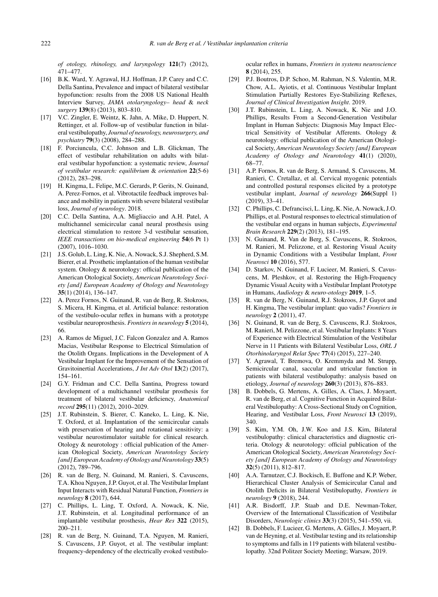*of otology, rhinology, and laryngology* **121**(7) (2012), 471–477.

- [16] B.K. Ward, Y. Agrawal, H.J. Hoffman, J.P. Carey and C.C. Della Santina, Prevalence and impact of bilateral vestibular hypofunction: results from the 2008 US National Health Interview Survey, *JAMA otolaryngology– head* & *neck surgery* **139**(8) (2013), 803–810.
- [17] V.C. Zingler, E. Weintz, K. Jahn, A. Mike, D. Huppert, N. Rettinger, et al. Follow-up of vestibular function in bilateral vestibulopathy, *Journal of neurology, neurosurgery, and psychiatry* **79**(3) (2008), 284–288.
- [18] F. Porciuncula, C.C. Johnson and L.B. Glickman, The effect of vestibular rehabilitation on adults with bilateral vestibular hypofunction: a systematic review, *Journal of vestibular research: equilibrium* & *orientation* **22**(5-6) (2012), 283–298.
- [19] H. Kingma, L. Felipe, M.C. Gerards, P. Gerits, N. Guinand, A. Perez-Fornos, et al. Vibrotactile feedback improves balance and mobility in patients with severe bilateral vestibular loss, *Journal of neurology*. 2018.
- [20] C.C. Della Santina, A.A. Migliaccio and A.H. Patel, A multichannel semicircular canal neural prosthesis using electrical stimulation to restore 3-d vestibular sensation, *IEEE transactions on bio-medical engineering* **54**(6 Pt 1) (2007), 1016–1030.
- [21] J.S. Golub, L. Ling, K. Nie, A. Nowack, S.J. Shepherd, S.M. Bierer, et al. Prosthetic implantation of the human vestibular system. Otology & neurotology: official publication of the American Otological Society, *American Neurotology Society [and] European Academy of Otology and Neurotology* **35**(1) (2014), 136–147.
- [22] A. Perez Fornos, N. Guinand, R. van de Berg, R. Stokroos, S. Micera, H. Kingma, et al. Artificial balance: restoration of the vestibulo-ocular reflex in humans with a prototype vestibular neuroprosthesis. *Frontiers in neurology* **5** (2014), 66.
- [23] A. Ramos de Miguel, J.C. Falcon Gonzalez and A. Ramos Macias, Vestibular Response to Electrical Stimulation of the Otolith Organs. Implications in the Development of A Vestibular Implant for the Improvement of the Sensation of Gravitoinertial Accelerations, *J Int Adv Otol* **13**(2) (2017), 154–161.
- [24] G.Y. Fridman and C.C. Della Santina, Progress toward development of a multichannel vestibular prosthesis for treatment of bilateral vestibular deficiency, *Anatomical record* **295**(11) (2012), 2010–2029.
- [25] J.T. Rubinstein, S. Bierer, C. Kaneko, L. Ling, K. Nie, T. Oxford, et al. Implantation of the semicircular canals with preservation of hearing and rotational sensitivity: a vestibular neurostimulator suitable for clinical research. Otology & neurotology : official publication of the American Otological Society, *American Neurotology Society [and] European Academy of Otology and Neurotology* **33**(5) (2012), 789–796.
- [26] R. van de Berg, N. Guinand, M. Ranieri, S. Cavuscens, T.A. Khoa Nguyen, J.P. Guyot, et al. The Vestibular Implant Input Interacts with Residual Natural Function, *Frontiers in neurology* **8** (2017), 644.
- [27] C. Phillips, L. Ling, T. Oxford, A. Nowack, K. Nie, J.T. Rubinstein, et al. Longitudinal performance of an implantable vestibular prosthesis, *Hear Res* **322** (2015), 200–211.
- [28] R. van de Berg, N. Guinand, T.A. Nguyen, M. Ranieri, S. Cavuscens, J.P. Guyot, et al. The vestibular implant: frequency-dependency of the electrically evoked vestibulo-

ocular reflex in humans, *Frontiers in systems neuroscience* **8** (2014), 255.

- [29] P.J. Boutros, D.P. Schoo, M. Rahman, N.S. Valentin, M.R. Chow, A.L. Ayiotis, et al. Continuous Vestibular Implant Stimulation Partially Restores Eye-Stabilizing Reflexes, *Journal of Clinical Investigation Insight*. 2019.
- [30] J.T. Rubinstein, L. Ling, A. Nowack, K. Nie and J.O. Phillips, Results From a Second-Generation Vestibular Implant in Human Subjects: Diagnosis May Impact Electrical Sensitivity of Vestibular Afferents. Otology & neurotology: official publication of the American Otological Society, *American Neurotology Society [and] European Academy of Otology and Neurotology* **41**(1) (2020), 68–77.
- [31] A.P. Fornos, R. van de Berg, S. Armand, S. Cavuscens, M. Ranieri, C. Cretallaz, et al. Cervical myogenic potentials and controlled postural responses elicited by a prototype vestibular implant, *Journal of neurology* **266**(Suppl 1) (2019), 33–41.
- [32] C. Phillips, C. Defrancisci, L. Ling, K. Nie, A. Nowack, J.O. Phillips, et al. Postural responses to electrical stimulation of the vestibular end organs in human subjects, *Experimental Brain Research* **229**(2) (2013), 181–195.
- [33] N. Guinand, R. Van de Berg, S. Cavuscens, R. Stokroos, M. Ranieri, M. Pelizzone, et al. Restoring Visual Acuity in Dynamic Conditions with a Vestibular Implant, *Front Neurosci* **10** (2016), 577.
- [34] D. Starkov, N. Guinand, F. Lucieer, M. Ranieri, S. Cavuscens, M. Pleshkov, et al. Restoring the High-Frequency Dynamic Visual Acuity with a Vestibular Implant Prototype in Humans, *Audiology* & *neuro-otology* **2019**, 1–5.
- [35] R. van de Berg, N. Guinand, R.J. Stokroos, J.P. Guyot and H. Kingma, The vestibular implant: quo vadis? *Frontiers in neurology* **2** (2011), 47.
- [36] N. Guinand, R. van de Berg, S. Cavuscens, R.J. Stokroos, M. Ranieri, M. Pelizzone, et al. Vestibular Implants: 8 Years of Experience with Electrical Stimulation of the Vestibular Nerve in 11 Patients with Bilateral Vestibular Loss, *ORL J Otorhinolaryngol Relat Spec* **77**(4) (2015), 227–240.
- [37] Y. Agrawal, T. Bremova, O. Kremmyda and M. Strupp, Semicircular canal, saccular and utricular function in patients with bilateral vestibulopathy: analysis based on etiology, *Journal of neurology* **260**(3) (2013), 876–883.
- [38] B. Dobbels, G. Mertens, A. Gilles, A. Claes, J. Moyaert, R. van de Berg, et al. Cognitive Function in Acquired Bilateral Vestibulopathy: A Cross-Sectional Study on Cognition, Hearing, and Vestibular Loss, *Front Neurosci* **13** (2019), 340.
- [39] S. Kim, Y.M. Oh, J.W. Koo and J.S. Kim, Bilateral vestibulopathy: clinical characteristics and diagnostic criteria. Otology & neurotology: official publication of the American Otological Society, *American Neurotology Society [and] European Academy of Otology and Neurotology* **32**(5) (2011), 812–817.
- [40] A.A. Tarnutzer, C.J. Bockisch, E. Buffone and K.P. Weber, Hierarchical Cluster Analysis of Semicircular Canal and Otolith Deficits in Bilateral Vestibulopathy, *Frontiers in neurology* **9** (2018), 244.
- [41] A.R. Bisdorff, J.P. Staab and D.E. Newman-Toker, Overview of the International Classification of Vestibular Disorders, *Neurologic clinics* **33**(3) (2015), 541–550, vii.
- [42] B. Dobbels, F. Lucieer, G. Mertens, A. Gilles, J. Moyaert, P. van de Heyning, et al. Vestibular testing and its relationship to symptoms and falls in 119 patients with bilateral vestibulopathy. 32nd Politzer Society Meeting; Warsaw, 2019.